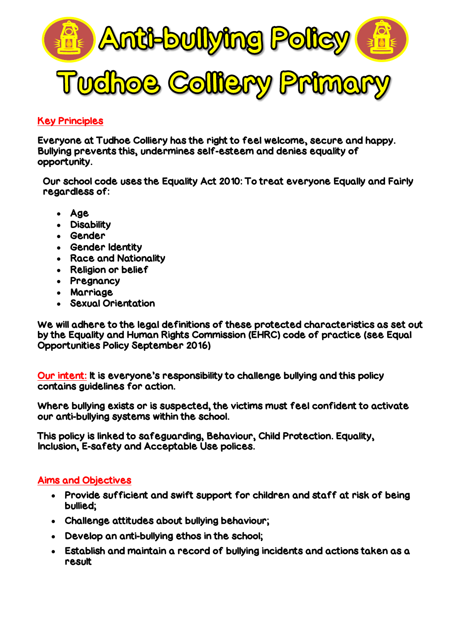

### Key Principles

Everyone at Tudhoe Colliery has the right to feel welcome, secure and happy. Bullying prevents this, undermines self-esteem and denies equality of opportunity.

Our school code uses the Equality Act 2010: To treat everyone Equally and Fairly regardless of:

- Age
- Disability
- Gender
- Gender Identity
- Race and Nationality
- Religion or belief
- Pregnancy
- Marriage
- Sexual Orientation

We will adhere to the legal definitions of these protected characteristics as set out by the Equality and Human Rights Commission (EHRC) code of practice (see Equal Opportunities Policy September 2016)

Our intent: It is everyone's responsibility to challenge bullying and this policy contains guidelines for action.

Where bullying exists or is suspected, the victims must feel confident to activate our anti-bullying systems within the school.

This policy is linked to safeguarding, Behaviour, Child Protection. Equality, Inclusion, E-safety and Acceptable Use polices.

#### Aims and Objectives

- Provide sufficient and swift support for children and staff at risk of being bullied;
- Challenge attitudes about bullying behaviour;
- Develop an anti-bullying ethos in the school;
- Establish and maintain a record of bullying incidents and actions taken as a result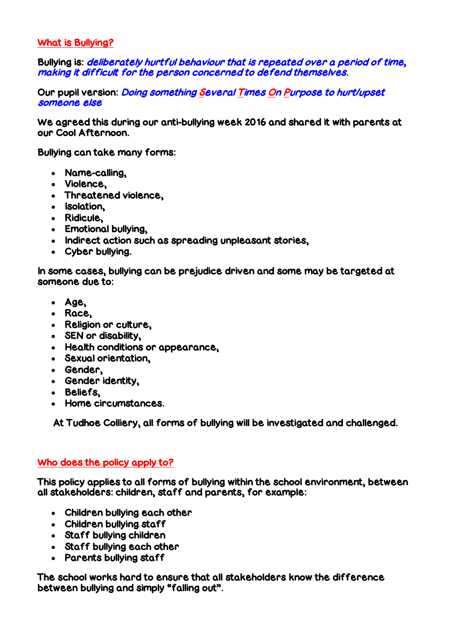#### What is Bullying?

Bullying is: *deliberately hurtful behaviour that is repeated over a period of time*, making it difficult for the person concerned to defend themselves.

Our pupil version: *Doing something Several Times On Purpose to hurt/upset* someone else

We agreed this during our anti-bullying week 2016 and shared it with parents at our Cool Afternoon.

Bullying can take many forms:

- Name-calling,
- Violence,
- Threatened violence,
- Isolation.
- Ridicule,
- Emotional bullying,
- Indirect action such as spreading unpleasant stories,
- Cyber bullying.

In some cases, bullying can be prejudice driven and some may be targeted at someone due to:

- Age,
- Race,
- Religion or culture,
- SEN or disability,
- Health conditions or appearance,
- Sexual orientation,
- Gender,
- Gender identity,
- Beliefs,
- Home circumstances.

At Tudhoe Colliery, all forms of bullying will be investigated and challenged.

#### Who does the policy apply to?

This policy applies to all forms of bullying within the school environment, between all stakeholders: children, staff and parents, for example:

- Children bullying each other
- Children bullying staff
- Staff bullying children
- Staff bullying each other
- Parents bullying staff

The school works hard to ensure that all stakeholders know the difference between bullying and simply "falling out".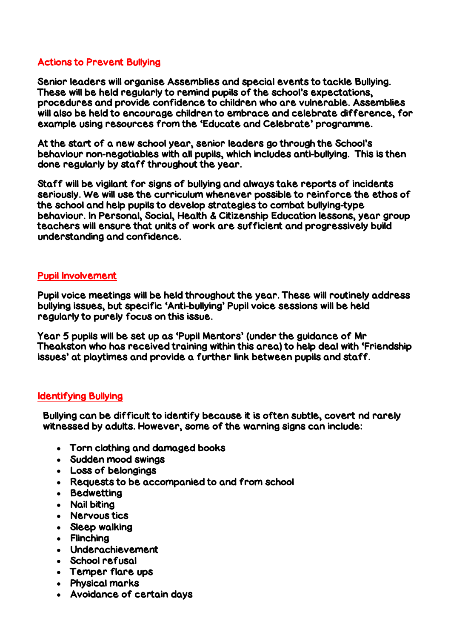#### Actions to Prevent Bullying

Senior leaders will organise Assemblies and special events to tackle Bullying. These will be held regularly to remind pupils of the school's expectations, procedures and provide confidence to children who are vulnerable. Assemblies will also be held to encourage children to embrace and celebrate difference, for example using resources from the 'Educate and Celebrate' programme.

At the start of a new school year, senior leaders go through the School's behaviour non-negotiables with all pupils, which includes anti-bullying. This is then done regularly by staff throughout the year.

Staff will be vigilant for signs of bullying and always take reports of incidents seriously. We will use the curriculum whenever possible to reinforce the ethos of the school and help pupils to develop strategies to combat bullying-type behaviour. In Personal, Social, Health & Citizenship Education lessons, year group teachers will ensure that units of work are sufficient and progressively build understanding and confidence.

### Pupil Involvement

Pupil voice meetings will be held throughout the year. These will routinely address bullying issues, but specific 'Anti-bullying' Pupil voice sessions will be held regularly to purely focus on this issue.

Year 5 pupils will be set up as 'Pupil Mentors' (under the guidance of Mr Theakston who has received training within this area) to help deal with 'Friendship issues' at playtimes and provide a further link between pupils and staff.

#### Identifying Bullying

Bullying can be difficult to identify because it is often subtle, covert nd rarely witnessed by adults. However, some of the warning signs can include:

- Torn clothing and damaged books
- Sudden mood swings
- Loss of belongings
- Requests to be accompanied to and from school
- Bedwetting
- Nail biting
- Nervous tics
- Sleep walking
- Flinching
- Underachievement
- School refusal
- Temper flare ups
- Physical marks
- Avoidance of certain days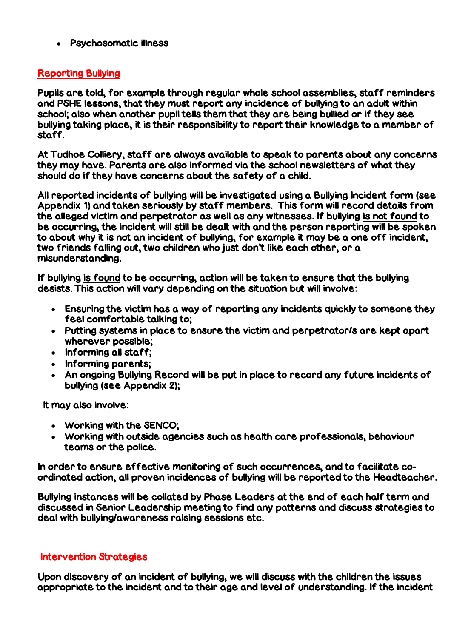Psychosomatic illness

# Reporting Bullying

Pupils are told, for example through regular whole school assemblies, staff reminders and PSHE lessons, that they must report any incidence of bullying to an adult within school; also when another pupil tells them that they are being bullied or if they see bullying taking place, it is their responsibility to report their knowledge to a member of staff.

At Tudhoe Colliery, staff are always available to speak to parents about any concerns they may have. Parents are also informed via the school newsletters of what they should do if they have concerns about the safety of a child.

All reported incidents of bullying will be investigated using a Bullying Incident form (see Appendix 1) and taken seriously by staff members. This form will record details from the alleged victim and perpetrator as well as any witnesses. If bullying is not found to be occurring, the incident will still be dealt with and the person reporting will be spoken to about why it is not an incident of bullying, for example it may be a one off incident, two friends falling out, two children who just don't like each other, or a misunderstanding.

If bullying is found to be occurring, action will be taken to ensure that the bullying desists. This action will vary depending on the situation but will involve:

- Ensuring the victim has a way of reporting any incidents quickly to someone they feel comfortable talking to;
- Putting systems in place to ensure the victim and perpetrator/s are kept apart wherever possible;
- Informing all staff;
- Informing parents;
- An ongoing Bullying Record will be put in place to record any future incidents of bullying (see Appendix 2);

It may also involve:

- Working with the SENCO;
- Working with outside agencies such as health care professionals, behaviour teams or the police.

In order to ensure effective monitoring of such occurrences, and to facilitate coordinated action, all proven incidences of bullying will be reported to the Headteacher.

Bullying instances will be collated by Phase Leaders at the end of each half term and discussed in Senior Leadership meeting to find any patterns and discuss strategies to deal with bullying/awareness raising sessions etc.

## Intervention Strategies

Upon discovery of an incident of bullying, we will discuss with the children the issues appropriate to the incident and to their age and level of understanding. If the incident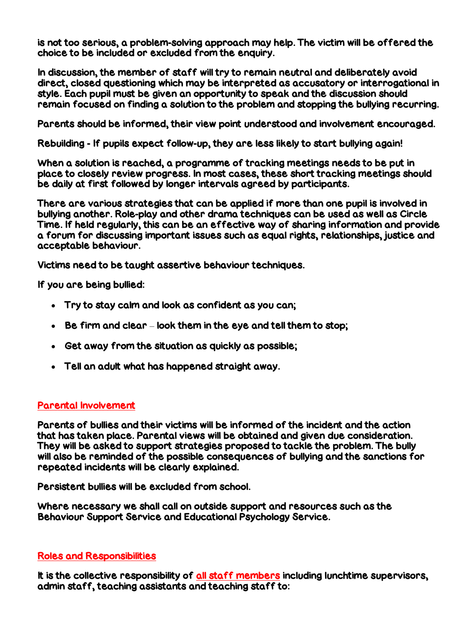is not too serious, a problem-solving approach may help. The victim will be offered the choice to be included or excluded from the enquiry.

In discussion, the member of staff will try to remain neutral and deliberately avoid direct, closed questioning which may be interpreted as accusatory or interrogational in style. Each pupil must be given an opportunity to speak and the discussion should remain focused on finding a solution to the problem and stopping the bullying recurring.

Parents should be informed, their view point understood and involvement encouraged.

Rebuilding - If pupils expect follow-up, they are less likely to start bullying again!

When a solution is reached, a programme of tracking meetings needs to be put in place to closely review progress. In most cases, these short tracking meetings should be daily at first followed by longer intervals agreed by participants.

There are various strategies that can be applied if more than one pupil is involved in bullying another. Role-play and other drama techniques can be used as well as Circle Time. If held regularly, this can be an effective way of sharing information and provide a forum for discussing important issues such as equal rights, relationships, justice and acceptable behaviour.

Victims need to be taught assertive behaviour techniques.

If you are being bullied:

- Try to stay calm and look as confident as you can;
- Be firm and clear look them in the eye and tell them to stop;
- Get away from the situation as quickly as possible;
- Tell an adult what has happened straight away.

#### Parental Involvement

Parents of bullies and their victims will be informed of the incident and the action that has taken place. Parental views will be obtained and given due consideration. They will be asked to support strategies proposed to tackle the problem. The bully will also be reminded of the possible consequences of bullying and the sanctions for repeated incidents will be clearly explained.

Persistent bullies will be excluded from school.

Where necessary we shall call on outside support and resources such as the Behaviour Support Service and Educational Psychology Service.

## Roles and Responsibilities

It is the collective responsibility of all staff members including lunchtime supervisors, admin staff, teaching assistants and teaching staff to: